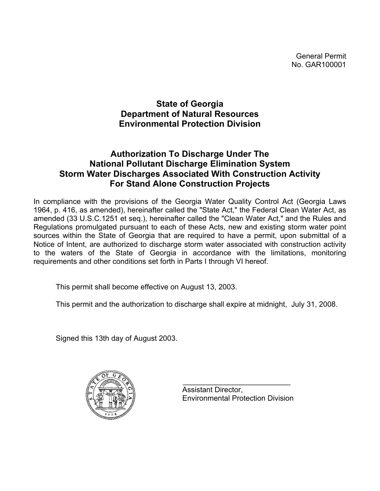General Permit No. GAR100001

# **State of Georgia Department of Natural Resources Environmental Protection Division**

# **Authorization To Discharge Under The National Pollutant Discharge Elimination System Storm Water Discharges Associated With Construction Activity For Stand Alone Construction Projects**

In compliance with the provisions of the Georgia Water Quality Control Act (Georgia Laws 1964, p. 416, as amended), hereinafter called the "State Act," the Federal Clean Water Act, as amended (33 U.S.C.1251 et seq.), hereinafter called the "Clean Water Act," and the Rules and Regulations promulgated pursuant to each of these Acts, new and existing storm water point sources within the State of Georgia that are required to have a permit, upon submittal of a Notice of Intent, are authorized to discharge storm water associated with construction activity to the waters of the State of Georgia in accordance with the limitations, monitoring requirements and other conditions set forth in Parts I through VI hereof.

This permit shall become effective on August 13, 2003.

This permit and the authorization to discharge shall expire at midnight, July 31, 2008.

Signed this 13th day of August 2003.



 Assistant Director, Environmental Protection Division

 $\mathcal{L}_\text{max} = \frac{1}{2} \sum_{i=1}^{n} \frac{1}{2} \sum_{i=1}^{n} \frac{1}{2} \sum_{i=1}^{n} \frac{1}{2} \sum_{i=1}^{n} \frac{1}{2} \sum_{i=1}^{n} \frac{1}{2} \sum_{i=1}^{n} \frac{1}{2} \sum_{i=1}^{n} \frac{1}{2} \sum_{i=1}^{n} \frac{1}{2} \sum_{i=1}^{n} \frac{1}{2} \sum_{i=1}^{n} \frac{1}{2} \sum_{i=1}^{n} \frac{1}{2} \sum_{i=1}^{n} \frac{1$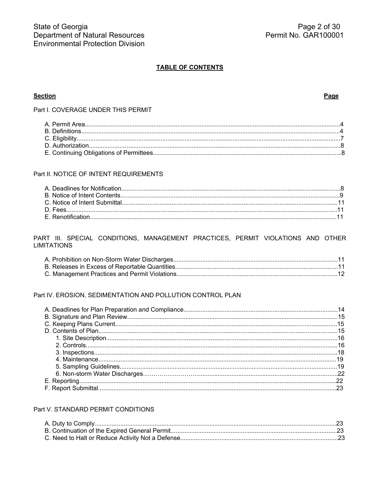## **TABLE OF CONTENTS**

### **Section**

#### Page

Part I. COVERAGE UNDER THIS PERMIT

### Part II. NOTICE OF INTENT REQUIREMENTS

### PART III. SPECIAL CONDITIONS, MANAGEMENT PRACTICES, PERMIT VIOLATIONS AND OTHER **LIMITATIONS**

### Part IV. EROSION, SEDIMENTATION AND POLLUTION CONTROL PLAN

## Part V. STANDARD PERMIT CONDITIONS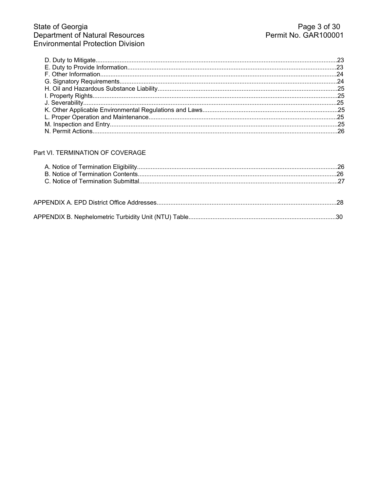### Part VI. TERMINATION OF COVERAGE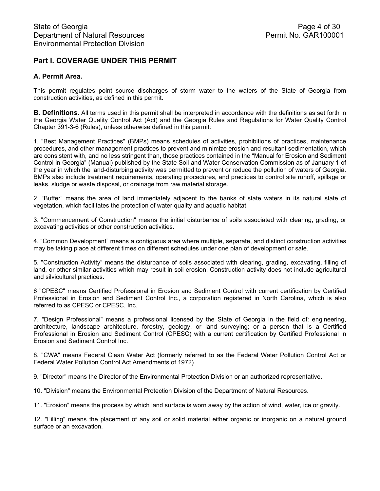# **Part I. COVERAGE UNDER THIS PERMIT**

## **A. Permit Area.**

This permit regulates point source discharges of storm water to the waters of the State of Georgia from construction activities, as defined in this permit.

**B. Definitions.** All terms used in this permit shall be interpreted in accordance with the definitions as set forth in the Georgia Water Quality Control Act (Act) and the Georgia Rules and Regulations for Water Quality Control Chapter 391-3-6 (Rules), unless otherwise defined in this permit:

1. "Best Management Practices" (BMPs) means schedules of activities, prohibitions of practices, maintenance procedures, and other management practices to prevent and minimize erosion and resultant sedimentation, which are consistent with, and no less stringent than, those practices contained in the "Manual for Erosion and Sediment Control in Georgia" (Manual) published by the State Soil and Water Conservation Commission as of January 1 of the year in which the land-disturbing activity was permitted to prevent or reduce the pollution of waters of Georgia. BMPs also include treatment requirements, operating procedures, and practices to control site runoff, spillage or leaks, sludge or waste disposal, or drainage from raw material storage.

2. "Buffer" means the area of land immediately adjacent to the banks of state waters in its natural state of vegetation, which facilitates the protection of water quality and aquatic habitat.

3. "Commencement of Construction" means the initial disturbance of soils associated with clearing, grading, or excavating activities or other construction activities.

4. "Common Development" means a contiguous area where multiple, separate, and distinct construction activities may be taking place at different times on different schedules under one plan of development or sale.

5. "Construction Activity" means the disturbance of soils associated with clearing, grading, excavating, filling of land, or other similar activities which may result in soil erosion. Construction activity does not include agricultural and silvicultural practices.

6 "CPESC" means Certified Professional in Erosion and Sediment Control with current certification by Certified Professional in Erosion and Sediment Control Inc., a corporation registered in North Carolina, which is also referred to as CPESC or CPESC, Inc.

7. "Design Professional" means a professional licensed by the State of Georgia in the field of: engineering, architecture, landscape architecture, forestry, geology, or land surveying; or a person that is a Certified Professional in Erosion and Sediment Control (CPESC) with a current certification by Certified Professional in Erosion and Sediment Control Inc.

8. "CWA" means Federal Clean Water Act (formerly referred to as the Federal Water Pollution Control Act or Federal Water Pollution Control Act Amendments of 1972).

9. "Director" means the Director of the Environmental Protection Division or an authorized representative.

10. "Division" means the Environmental Protection Division of the Department of Natural Resources.

11. "Erosion" means the process by which land surface is worn away by the action of wind, water, ice or gravity.

12. "Filling" means the placement of any soil or solid material either organic or inorganic on a natural ground surface or an excavation.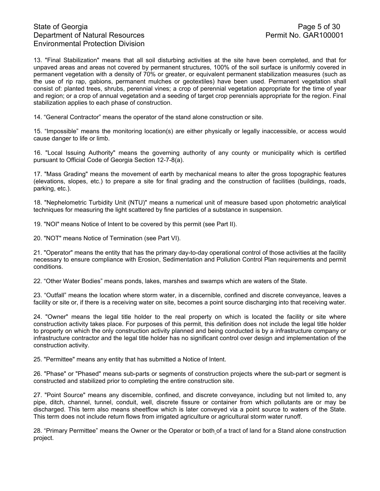# State of Georgia **Page 5 of 30** Department of Natural Resources Permit No. GAR100001 Environmental Protection Division

13. "Final Stabilization" means that all soil disturbing activities at the site have been completed, and that for unpaved areas and areas not covered by permanent structures, 100% of the soil surface is uniformly covered in permanent vegetation with a density of 70% or greater, or equivalent permanent stabilization measures (such as the use of rip rap, gabions, permanent mulches or geotextiles) have been used. Permanent vegetation shall consist of: planted trees, shrubs, perennial vines; a crop of perennial vegetation appropriate for the time of year and region; or a crop of annual vegetation and a seeding of target crop perennials appropriate for the region. Final stabilization applies to each phase of construction.

14. "General Contractor" means the operator of the stand alone construction or site.

15. "Impossible" means the monitoring location(s) are either physically or legally inaccessible, or access would cause danger to life or limb.

16. "Local Issuing Authority" means the governing authority of any county or municipality which is certified pursuant to Official Code of Georgia Section 12-7-8(a).

17. "Mass Grading" means the movement of earth by mechanical means to alter the gross topographic features (elevations, slopes, etc.) to prepare a site for final grading and the construction of facilities (buildings, roads, parking, etc.).

18. "Nephelometric Turbidity Unit (NTU)" means a numerical unit of measure based upon photometric analytical techniques for measuring the light scattered by fine particles of a substance in suspension.

19. "NOI" means Notice of Intent to be covered by this permit (see Part II).

20. "NOT" means Notice of Termination (see Part VI).

21. "Operator" means the entity that has the primary day-to-day operational control of those activities at the facility necessary to ensure compliance with Erosion, Sedimentation and Pollution Control Plan requirements and permit conditions.

22. "Other Water Bodies" means ponds, lakes, marshes and swamps which are waters of the State.

23. "Outfall" means the location where storm water, in a discernible, confined and discrete conveyance, leaves a facility or site or, if there is a receiving water on site, becomes a point source discharging into that receiving water.

24. "Owner" means the legal title holder to the real property on which is located the facility or site where construction activity takes place. For purposes of this permit, this definition does not include the legal title holder to property on which the only construction activity planned and being conducted is by a infrastructure company or infrastructure contractor and the legal title holder has no significant control over design and implementation of the construction activity.

25. "Permittee" means any entity that has submitted a Notice of Intent.

26. "Phase" or "Phased" means sub-parts or segments of construction projects where the sub-part or segment is constructed and stabilized prior to completing the entire construction site.

27. "Point Source" means any discernible, confined, and discrete conveyance, including but not limited to, any pipe, ditch, channel, tunnel, conduit, well, discrete fissure or container from which pollutants are or may be discharged. This term also means sheetflow which is later conveyed via a point source to waters of the State. This term does not include return flows from irrigated agriculture or agricultural storm water runoff.

28. "Primary Permittee" means the Owner or the Operator or both of a tract of land for a Stand alone construction project.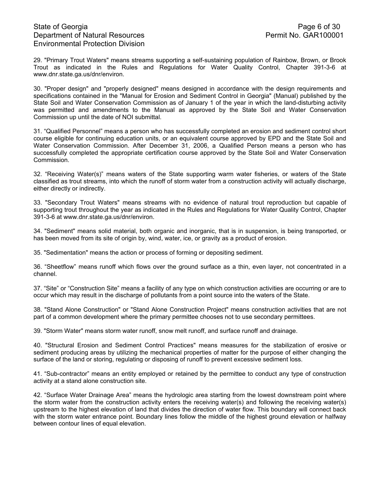# State of Georgia **Page 6 of 30** Department of Natural Resources Permit No. GAR100001 Environmental Protection Division

29. "Primary Trout Waters" means streams supporting a self-sustaining population of Rainbow, Brown, or Brook Trout as indicated in the Rules and Regulations for Water Quality Control, Chapter 391-3-6 at www.dnr.state.ga.us/dnr/environ.

30. "Proper design" and "properly designed" means designed in accordance with the design requirements and specifications contained in the "Manual for Erosion and Sediment Control in Georgia" (Manual) published by the State Soil and Water Conservation Commission as of January 1 of the year in which the land-disturbing activity was permitted and amendments to the Manual as approved by the State Soil and Water Conservation Commission up until the date of NOI submittal.

31. "Qualified Personnel" means a person who has successfully completed an erosion and sediment control short course eligible for continuing education units, or an equivalent course approved by EPD and the State Soil and Water Conservation Commission. After December 31, 2006, a Qualified Person means a person who has successfully completed the appropriate certification course approved by the State Soil and Water Conservation Commission.

32. "Receiving Water(s)" means waters of the State supporting warm water fisheries, or waters of the State classified as trout streams, into which the runoff of storm water from a construction activity will actually discharge, either directly or indirectly.

33. "Secondary Trout Waters" means streams with no evidence of natural trout reproduction but capable of supporting trout throughout the year as indicated in the Rules and Regulations for Water Quality Control, Chapter 391-3-6 at www.dnr.state.ga.us/dnr/environ.

34. "Sediment" means solid material, both organic and inorganic, that is in suspension, is being transported, or has been moved from its site of origin by, wind, water, ice, or gravity as a product of erosion.

35. "Sedimentation" means the action or process of forming or depositing sediment.

36. "Sheetflow" means runoff which flows over the ground surface as a thin, even layer, not concentrated in a channel.

37. "Site" or "Construction Site" means a facility of any type on which construction activities are occurring or are to occur which may result in the discharge of pollutants from a point source into the waters of the State.

38. "Stand Alone Construction" or "Stand Alone Construction Project" means construction activities that are not part of a common development where the primary permittee chooses not to use secondary permittees.

39. "Storm Water" means storm water runoff, snow melt runoff, and surface runoff and drainage.

40. "Structural Erosion and Sediment Control Practices" means measures for the stabilization of erosive or sediment producing areas by utilizing the mechanical properties of matter for the purpose of either changing the surface of the land or storing, regulating or disposing of runoff to prevent excessive sediment loss.

41. "Sub-contractor" means an entity employed or retained by the permittee to conduct any type of construction activity at a stand alone construction site.

42. "Surface Water Drainage Area" means the hydrologic area starting from the lowest downstream point where the storm water from the construction activity enters the receiving water(s) and following the receiving water(s) upstream to the highest elevation of land that divides the direction of water flow. This boundary will connect back with the storm water entrance point. Boundary lines follow the middle of the highest ground elevation or halfway between contour lines of equal elevation.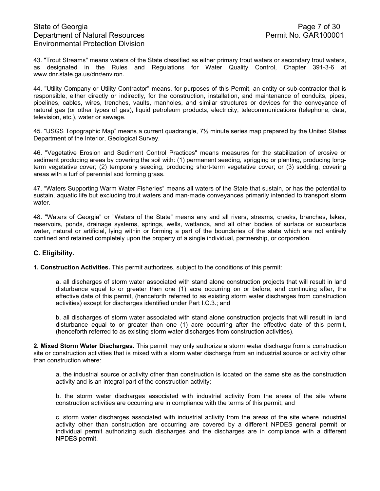# State of Georgia **Page 7 of 30** Department of Natural Resources **Permit No. GAR100001** Environmental Protection Division

43. "Trout Streams" means waters of the State classified as either primary trout waters or secondary trout waters, as designated in the Rules and Regulations for Water Quality Control, Chapter 391-3-6 at www.dnr.state.ga.us/dnr/environ.

44. "Utility Company or Utility Contractor" means, for purposes of this Permit, an entity or sub-contractor that is responsible, either directly or indirectly, for the construction, installation, and maintenance of conduits, pipes, pipelines, cables, wires, trenches, vaults, manholes, and similar structures or devices for the conveyance of natural gas (or other types of gas), liquid petroleum products, electricity, telecommunications (telephone, data, television, etc.), water or sewage.

45. "USGS Topographic Map" means a current quadrangle, 7½ minute series map prepared by the United States Department of the Interior, Geological Survey.

46. "Vegetative Erosion and Sediment Control Practices" means measures for the stabilization of erosive or sediment producing areas by covering the soil with: (1) permanent seeding, sprigging or planting, producing longterm vegetative cover; (2) temporary seeding, producing short-term vegetative cover; or (3) sodding, covering areas with a turf of perennial sod forming grass.

47. "Waters Supporting Warm Water Fisheries" means all waters of the State that sustain, or has the potential to sustain, aquatic life but excluding trout waters and man-made conveyances primarily intended to transport storm water.

48. "Waters of Georgia" or "Waters of the State" means any and all rivers, streams, creeks, branches, lakes, reservoirs, ponds, drainage systems, springs, wells, wetlands, and all other bodies of surface or subsurface water, natural or artificial, lying within or forming a part of the boundaries of the state which are not entirely confined and retained completely upon the property of a single individual, partnership, or corporation.

### **C. Eligibility.**

**1. Construction Activities.** This permit authorizes, subject to the conditions of this permit:

a. all discharges of storm water associated with stand alone construction projects that will result in land disturbance equal to or greater than one (1) acre occurring on or before, and continuing after, the effective date of this permit, (henceforth referred to as existing storm water discharges from construction activities) except for discharges identified under Part I.C.3.; and

b. all discharges of storm water associated with stand alone construction projects that will result in land disturbance equal to or greater than one (1) acre occurring after the effective date of this permit, (henceforth referred to as existing storm water discharges from construction activities).

**2. Mixed Storm Water Discharges.** This permit may only authorize a storm water discharge from a construction site or construction activities that is mixed with a storm water discharge from an industrial source or activity other than construction where:

a. the industrial source or activity other than construction is located on the same site as the construction activity and is an integral part of the construction activity;

b. the storm water discharges associated with industrial activity from the areas of the site where construction activities are occurring are in compliance with the terms of this permit; and

c. storm water discharges associated with industrial activity from the areas of the site where industrial activity other than construction are occurring are covered by a different NPDES general permit or individual permit authorizing such discharges and the discharges are in compliance with a different NPDES permit.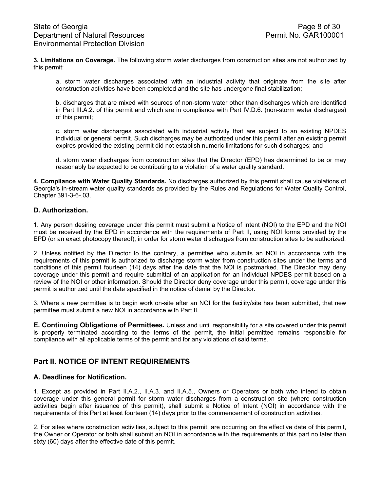**3. Limitations on Coverage.** The following storm water discharges from construction sites are not authorized by this permit:

a. storm water discharges associated with an industrial activity that originate from the site after construction activities have been completed and the site has undergone final stabilization;

b. discharges that are mixed with sources of non-storm water other than discharges which are identified in Part III.A.2. of this permit and which are in compliance with Part IV.D.6. (non-storm water discharges) of this permit;

c. storm water discharges associated with industrial activity that are subject to an existing NPDES individual or general permit. Such discharges may be authorized under this permit after an existing permit expires provided the existing permit did not establish numeric limitations for such discharges; and

d. storm water discharges from construction sites that the Director (EPD) has determined to be or may reasonably be expected to be contributing to a violation of a water quality standard.

**4. Compliance with Water Quality Standards.** No discharges authorized by this permit shall cause violations of Georgia's in-stream water quality standards as provided by the Rules and Regulations for Water Quality Control, Chapter 391-3-6-.03.

## **D. Authorization.**

1. Any person desiring coverage under this permit must submit a Notice of Intent (NOI) to the EPD and the NOI must be received by the EPD in accordance with the requirements of Part II, using NOI forms provided by the EPD (or an exact photocopy thereof), in order for storm water discharges from construction sites to be authorized.

2. Unless notified by the Director to the contrary, a permittee who submits an NOI in accordance with the requirements of this permit is authorized to discharge storm water from construction sites under the terms and conditions of this permit fourteen (14) days after the date that the NOI is postmarked. The Director may deny coverage under this permit and require submittal of an application for an individual NPDES permit based on a review of the NOI or other information. Should the Director deny coverage under this permit, coverage under this permit is authorized until the date specified in the notice of denial by the Director.

3. Where a new permittee is to begin work on-site after an NOI for the facility/site has been submitted, that new permittee must submit a new NOI in accordance with Part II.

**E. Continuing Obligations of Permittees.** Unless and until responsibility for a site covered under this permit is properly terminated according to the terms of the permit, the initial permittee remains responsible for compliance with all applicable terms of the permit and for any violations of said terms.

## **Part II. NOTICE OF INTENT REQUIREMENTS**

### **A. Deadlines for Notification.**

1. Except as provided in Part II.A.2., II.A.3. and II.A.5., Owners or Operators or both who intend to obtain coverage under this general permit for storm water discharges from a construction site (where construction activities begin after issuance of this permit), shall submit a Notice of Intent (NOI) in accordance with the requirements of this Part at least fourteen (14) days prior to the commencement of construction activities.

2. For sites where construction activities, subject to this permit, are occurring on the effective date of this permit, the Owner or Operator or both shall submit an NOI in accordance with the requirements of this part no later than sixty (60) days after the effective date of this permit.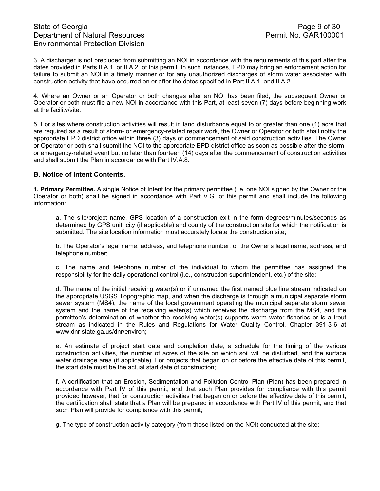3. A discharger is not precluded from submitting an NOI in accordance with the requirements of this part after the dates provided in Parts II.A.1. or II.A.2. of this permit. In such instances, EPD may bring an enforcement action for failure to submit an NOI in a timely manner or for any unauthorized discharges of storm water associated with construction activity that have occurred on or after the dates specified in Part II.A.1. and II.A.2.

4. Where an Owner or an Operator or both changes after an NOI has been filed, the subsequent Owner or Operator or both must file a new NOI in accordance with this Part, at least seven (7) days before beginning work at the facility/site.

5. For sites where construction activities will result in land disturbance equal to or greater than one (1) acre that are required as a result of storm- or emergency-related repair work, the Owner or Operator or both shall notify the appropriate EPD district office within three (3) days of commencement of said construction activities. The Owner or Operator or both shall submit the NOI to the appropriate EPD district office as soon as possible after the stormor emergency-related event but no later than fourteen (14) days after the commencement of construction activities and shall submit the Plan in accordance with Part IV.A.8.

### **B. Notice of Intent Contents.**

**1. Primary Permittee.** A single Notice of Intent for the primary permittee (i.e. one NOI signed by the Owner or the Operator or both) shall be signed in accordance with Part V.G. of this permit and shall include the following information:

a. The site/project name, GPS location of a construction exit in the form degrees/minutes/seconds as determined by GPS unit, city (if applicable) and county of the construction site for which the notification is submitted. The site location information must accurately locate the construction site;

b. The Operator's legal name, address, and telephone number; or the Owner's legal name, address, and telephone number;

c. The name and telephone number of the individual to whom the permittee has assigned the responsibility for the daily operational control (i.e., construction superintendent, etc.) of the site;

d. The name of the initial receiving water(s) or if unnamed the first named blue line stream indicated on the appropriate USGS Topographic map, and when the discharge is through a municipal separate storm sewer system (MS4), the name of the local government operating the municipal separate storm sewer system and the name of the receiving water(s) which receives the discharge from the MS4, and the permittee's determination of whether the receiving water(s) supports warm water fisheries or is a trout stream as indicated in the Rules and Regulations for Water Quality Control, Chapter 391-3-6 at www.dnr.state.ga.us/dnr/environ;

e. An estimate of project start date and completion date, a schedule for the timing of the various construction activities, the number of acres of the site on which soil will be disturbed, and the surface water drainage area (if applicable). For projects that began on or before the effective date of this permit, the start date must be the actual start date of construction;

f. A certification that an Erosion, Sedimentation and Pollution Control Plan (Plan) has been prepared in accordance with Part IV of this permit, and that such Plan provides for compliance with this permit provided however, that for construction activities that began on or before the effective date of this permit, the certification shall state that a Plan will be prepared in accordance with Part IV of this permit, and that such Plan will provide for compliance with this permit;

g. The type of construction activity category (from those listed on the NOI) conducted at the site;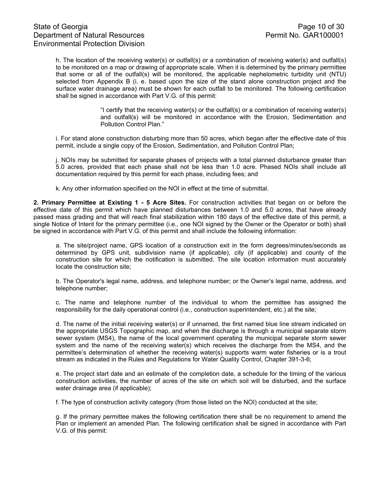h. The location of the receiving water(s) or outfall(s) or a combination of receiving water(s) and outfall(s) to be monitored on a map or drawing of appropriate scale. When it is determined by the primary permittee that some or all of the outfall(s) will be monitored, the applicable nephelometric turbidity unit (NTU) selected from Appendix B (i. e. based upon the size of the stand alone construction project and the surface water drainage area) must be shown for each outfall to be monitored. The following certification shall be signed in accordance with Part V.G. of this permit:

> "I certify that the receiving water(s) or the outfall(s) or a combination of receiving water(s) and outfall(s) will be monitored in accordance with the Erosion, Sedimentation and Pollution Control Plan."

i. For stand alone construction disturbing more than 50 acres, which began after the effective date of this permit, include a single copy of the Erosion, Sedimentation, and Pollution Control Plan;

j. NOIs may be submitted for separate phases of projects with a total planned disturbance greater than 5.0 acres, provided that each phase shall not be less than 1.0 acre. Phased NOIs shall include all documentation required by this permit for each phase, including fees; and

k. Any other information specified on the NOI in effect at the time of submittal.

**2. Primary Permittee at Existing 1 - 5 Acre Sites.** For construction activities that began on or before the effective date of this permit which have planned disturbances between 1.0 and 5.0 acres, that have already passed mass grading and that will reach final stabilization within 180 days of the effective date of this permit, a single Notice of Intent for the primary permittee (i.e., one NOI signed by the Owner or the Operator or both) shall be signed in accordance with Part V.G. of this permit and shall include the following information:

a. The site/project name, GPS location of a construction exit in the form degrees/minutes/seconds as determined by GPS unit, subdivision name (if applicable), city (if applicable) and county of the construction site for which the notification is submitted. The site location information must accurately locate the construction site;

b. The Operator's legal name, address, and telephone number; or the Owner's legal name, address, and telephone number;

c. The name and telephone number of the individual to whom the permittee has assigned the responsibility for the daily operational control (i.e., construction superintendent, etc.) at the site;

d. The name of the initial receiving water(s) or if unnamed, the first named blue line stream indicated on the appropriate USGS Topographic map, and when the discharge is through a municipal separate storm sewer system (MS4), the name of the local government operating the municipal separate storm sewer system and the name of the receiving water(s) which receives the discharge from the MS4, and the permittee's determination of whether the receiving water(s) supports warm water fisheries or is a trout stream as indicated in the Rules and Regulations for Water Quality Control, Chapter 391-3-6;

e. The project start date and an estimate of the completion date, a schedule for the timing of the various construction activities, the number of acres of the site on which soil will be disturbed, and the surface water drainage area (if applicable);

f. The type of construction activity category (from those listed on the NOI) conducted at the site;

g. If the primary permittee makes the following certification there shall be no requirement to amend the Plan or implement an amended Plan. The following certification shall be signed in accordance with Part V.G. of this permit: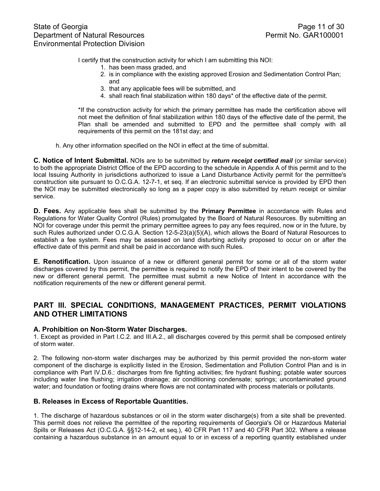I certify that the construction activity for which I am submitting this NOI:

- 1. has been mass graded, and
- 2. is in compliance with the existing approved Erosion and Sedimentation Control Plan; and
- 3. that any applicable fees will be submitted, and
- 4. shall reach final stabilization within 180 days\* of the effective date of the permit.

\*If the construction activity for which the primary permittee has made the certification above will not meet the definition of final stabilization within 180 days of the effective date of the permit, the Plan shall be amended and submitted to EPD and the permittee shall comply with all requirements of this permit on the 181st day; and

h. Any other information specified on the NOI in effect at the time of submittal.

**C. Notice of Intent Submittal.** NOIs are to be submitted by *return receipt certified mail* (or similar service) to both the appropriate District Office of the EPD according to the schedule in Appendix A of this permit and to the local Issuing Authority in jurisdictions authorized to issue a Land Disturbance Activity permit for the permittee's construction site pursuant to O.C.G.A. 12-7-1, et seq. If an electronic submittal service is provided by EPD then the NOI may be submitted electronically so long as a paper copy is also submitted by return receipt or similar service.

**D. Fees.** Any applicable fees shall be submitted by the **Primary Permittee** in accordance with Rules and Regulations for Water Quality Control (Rules) promulgated by the Board of Natural Resources. By submitting an NOI for coverage under this permit the primary permittee agrees to pay any fees required, now or in the future, by such Rules authorized under O.C.G.A. Section 12-5-23(a)(5)(A), which allows the Board of Natural Resources to establish a fee system. Fees may be assessed on land disturbing activity proposed to occur on or after the effective date of this permit and shall be paid in accordance with such Rules.

**E. Renotification.** Upon issuance of a new or different general permit for some or all of the storm water discharges covered by this permit, the permittee is required to notify the EPD of their intent to be covered by the new or different general permit. The permittee must submit a new Notice of Intent in accordance with the notification requirements of the new or different general permit.

# **PART III. SPECIAL CONDITIONS, MANAGEMENT PRACTICES, PERMIT VIOLATIONS AND OTHER LIMITATIONS**

### **A. Prohibition on Non-Storm Water Discharges.**

1. Except as provided in Part I.C.2. and III.A.2., all discharges covered by this permit shall be composed entirely of storm water.

2. The following non-storm water discharges may be authorized by this permit provided the non-storm water component of the discharge is explicitly listed in the Erosion, Sedimentation and Pollution Control Plan and is in compliance with Part IV.D.6.: discharges from fire fighting activities; fire hydrant flushing; potable water sources including water line flushing; irrigation drainage; air conditioning condensate; springs; uncontaminated ground water; and foundation or footing drains where flows are not contaminated with process materials or pollutants.

### **B. Releases in Excess of Reportable Quantities.**

1. The discharge of hazardous substances or oil in the storm water discharge(s) from a site shall be prevented. This permit does not relieve the permittee of the reporting requirements of Georgia's Oil or Hazardous Material Spills or Releases Act (O.C.G.A. §§12-14-2, et seq.), 40 CFR Part 117 and 40 CFR Part 302. Where a release containing a hazardous substance in an amount equal to or in excess of a reporting quantity established under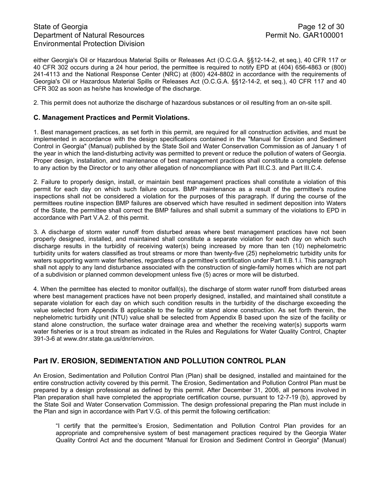# State of Georgia **Page 12 of 30** Department of Natural Resources **Permit No. GAR100001** Environmental Protection Division

either Georgia's Oil or Hazardous Material Spills or Releases Act (O.C.G.A. §§12-14-2, et seq.), 40 CFR 117 or 40 CFR 302 occurs during a 24 hour period, the permittee is required to notify EPD at (404) 656-4863 or (800) 241-4113 and the National Response Center (NRC) at (800) 424-8802 in accordance with the requirements of Georgia's Oil or Hazardous Material Spills or Releases Act (O.C.G.A. §§12-14-2, et seq.), 40 CFR 117 and 40 CFR 302 as soon as he/she has knowledge of the discharge.

2. This permit does not authorize the discharge of hazardous substances or oil resulting from an on-site spill.

### **C. Management Practices and Permit Violations.**

1. Best management practices, as set forth in this permit, are required for all construction activities, and must be implemented in accordance with the design specifications contained in the "Manual for Erosion and Sediment Control in Georgia" (Manual) published by the State Soil and Water Conservation Commission as of January 1 of the year in which the land-disturbing activity was permitted to prevent or reduce the pollution of waters of Georgia. Proper design, installation, and maintenance of best management practices shall constitute a complete defense to any action by the Director or to any other allegation of noncompliance with Part III.C.3. and Part III.C.4.

2. Failure to properly design, install, or maintain best management practices shall constitute a violation of this permit for each day on which such failure occurs. BMP maintenance as a result of the permittee's routine inspections shall not be considered a violation for the purposes of this paragraph. If during the course of the permittees routine inspection BMP failures are observed which have resulted in sediment deposition into Waters of the State, the permittee shall correct the BMP failures and shall submit a summary of the violations to EPD in accordance with Part V.A.2. of this permit.

3. A discharge of storm water runoff from disturbed areas where best management practices have not been properly designed, installed, and maintained shall constitute a separate violation for each day on which such discharge results in the turbidity of receiving water(s) being increased by more than ten (10) nephelometric turbidity units for waters classified as trout streams or more than twenty-five (25) nephelometric turbidity units for waters supporting warm water fisheries, regardless of a permittee's certification under Part II.B.1.i. This paragraph shall not apply to any land disturbance associated with the construction of single-family homes which are not part of a subdivision or planned common development unless five (5) acres or more will be disturbed.

4. When the permittee has elected to monitor outfall(s), the discharge of storm water runoff from disturbed areas where best management practices have not been properly designed, installed, and maintained shall constitute a separate violation for each day on which such condition results in the turbidity of the discharge exceeding the value selected from Appendix B applicable to the facility or stand alone construction. As set forth therein, the nephelometric turbidity unit (NTU) value shall be selected from Appendix B based upon the size of the facility or stand alone construction, the surface water drainage area and whether the receiving water(s) supports warm water fisheries or is a trout stream as indicated in the Rules and Regulations for Water Quality Control, Chapter 391-3-6 at www.dnr.state.ga.us/dnr/environ.

# **Part IV. EROSION, SEDIMENTATION AND POLLUTION CONTROL PLAN**

An Erosion, Sedimentation and Pollution Control Plan (Plan) shall be designed, installed and maintained for the entire construction activity covered by this permit. The Erosion, Sedimentation and Pollution Control Plan must be prepared by a design professional as defined by this permit. After December 31, 2006, all persons involved in Plan preparation shall have completed the appropriate certification course, pursuant to 12-7-19 (b), approved by the State Soil and Water Conservation Commission. The design professional preparing the Plan must include in the Plan and sign in accordance with Part V.G. of this permit the following certification:

"I certify that the permittee's Erosion, Sedimentation and Pollution Control Plan provides for an appropriate and comprehensive system of best management practices required by the Georgia Water Quality Control Act and the document "Manual for Erosion and Sediment Control in Georgia" (Manual)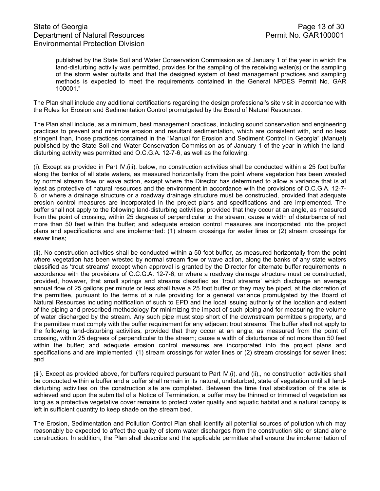# State of Georgia Page 13 of 30<br>Department of Natural Resources Permit No. GAR100001 Department of Natural Resources Environmental Protection Division

published by the State Soil and Water Conservation Commission as of January 1 of the year in which the land-disturbing activity was permitted, provides for the sampling of the receiving water(s) or the sampling of the storm water outfalls and that the designed system of best management practices and sampling methods is expected to meet the requirements contained in the General NPDES Permit No. GAR 100001."

The Plan shall include any additional certifications regarding the design professional's site visit in accordance with the Rules for Erosion and Sedimentation Control promulgated by the Board of Natural Resources.

The Plan shall include, as a minimum, best management practices, including sound conservation and engineering practices to prevent and minimize erosion and resultant sedimentation, which are consistent with, and no less stringent than, those practices contained in the "Manual for Erosion and Sediment Control in Georgia" (Manual) published by the State Soil and Water Conservation Commission as of January 1 of the year in which the landdisturbing activity was permitted and O.C.G.A. 12-7-6, as well as the following:

(i). Except as provided in Part IV.(iii). below, no construction activities shall be conducted within a 25 foot buffer along the banks of all state waters, as measured horizontally from the point where vegetation has been wrested by normal stream flow or wave action, except where the Director has determined to allow a variance that is at least as protective of natural resources and the environment in accordance with the provisions of O.C.G.A. 12-7- 6, or where a drainage structure or a roadway drainage structure must be constructed, provided that adequate erosion control measures are incorporated in the project plans and specifications and are implemented. The buffer shall not apply to the following land-disturbing activities, provided that they occur at an angle, as measured from the point of crossing, within 25 degrees of perpendicular to the stream; cause a width of disturbance of not more than 50 feet within the buffer; and adequate erosion control measures are incorporated into the project plans and specifications and are implemented: (1) stream crossings for water lines or (2) stream crossings for sewer lines;

(ii). No construction activities shall be conducted within a 50 foot buffer, as measured horizontally from the point where vegetation has been wrested by normal stream flow or wave action, along the banks of any state waters classified as 'trout streams' except when approval is granted by the Director for alternate buffer requirements in accordance with the provisions of O.C.G.A. 12-7-6, or where a roadway drainage structure must be constructed; provided, however, that small springs and streams classified as 'trout streams' which discharge an average annual flow of 25 gallons per minute or less shall have a 25 foot buffer or they may be piped, at the discretion of the permittee, pursuant to the terms of a rule providing for a general variance promulgated by the Board of Natural Resources including notification of such to EPD and the local issuing authority of the location and extent of the piping and prescribed methodology for minimizing the impact of such piping and for measuring the volume of water discharged by the stream. Any such pipe must stop short of the downstream permittee's property, and the permittee must comply with the buffer requirement for any adjacent trout streams. The buffer shall not apply to the following land-disturbing activities, provided that they occur at an angle, as measured from the point of crossing, within 25 degrees of perpendicular to the stream; cause a width of disturbance of not more than 50 feet within the buffer; and adequate erosion control measures are incorporated into the project plans and specifications and are implemented: (1) stream crossings for water lines or (2) stream crossings for sewer lines; and

(iii). Except as provided above, for buffers required pursuant to Part IV.(i). and (ii)., no construction activities shall be conducted within a buffer and a buffer shall remain in its natural, undisturbed, state of vegetation until all landdisturbing activities on the construction site are completed. Between the time final stabilization of the site is achieved and upon the submittal of a Notice of Termination, a buffer may be thinned or trimmed of vegetation as long as a protective vegetative cover remains to protect water quality and aquatic habitat and a natural canopy is left in sufficient quantity to keep shade on the stream bed.

The Erosion, Sedimentation and Pollution Control Plan shall identify all potential sources of pollution which may reasonably be expected to affect the quality of storm water discharges from the construction site or stand alone construction. In addition, the Plan shall describe and the applicable permittee shall ensure the implementation of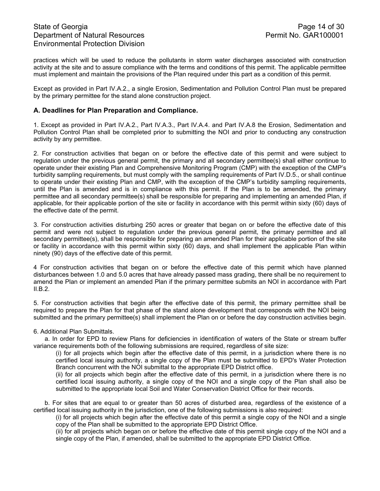# State of Georgia **Page 14 of 30** Department of Natural Resources **Permit No. GAR100001** Environmental Protection Division

practices which will be used to reduce the pollutants in storm water discharges associated with construction activity at the site and to assure compliance with the terms and conditions of this permit. The applicable permittee must implement and maintain the provisions of the Plan required under this part as a condition of this permit.

Except as provided in Part IV.A.2., a single Erosion, Sedimentation and Pollution Control Plan must be prepared by the primary permittee for the stand alone construction project.

### **A. Deadlines for Plan Preparation and Compliance.**

1. Except as provided in Part IV.A.2., Part IV.A.3., Part IV.A.4. and Part IV.A.8 the Erosion, Sedimentation and Pollution Control Plan shall be completed prior to submitting the NOI and prior to conducting any construction activity by any permittee.

2. For construction activities that began on or before the effective date of this permit and were subject to regulation under the previous general permit, the primary and all secondary permittee(s) shall either continue to operate under their existing Plan and Comprehensive Monitoring Program (CMP) with the exception of the CMP's turbidity sampling requirements, but must comply with the sampling requirements of Part IV.D.5., or shall continue to operate under their existing Plan and CMP, with the exception of the CMP's turbidity sampling requirements, until the Plan is amended and is in compliance with this permit. If the Plan is to be amended, the primary permittee and all secondary permittee(s) shall be responsible for preparing and implementing an amended Plan, if applicable, for their applicable portion of the site or facility in accordance with this permit within sixty (60) days of the effective date of the permit.

3. For construction activities disturbing 250 acres or greater that began on or before the effective date of this permit and were not subject to regulation under the previous general permit, the primary permittee and all secondary permittee(s), shall be responsible for preparing an amended Plan for their applicable portion of the site or facility in accordance with this permit within sixty (60) days, and shall implement the applicable Plan within ninety (90) days of the effective date of this permit.

4 For construction activities that began on or before the effective date of this permit which have planned disturbances between 1.0 and 5.0 acres that have already passed mass grading, there shall be no requirement to amend the Plan or implement an amended Plan if the primary permittee submits an NOI in accordance with Part II.B.2.

5. For construction activities that begin after the effective date of this permit, the primary permittee shall be required to prepare the Plan for that phase of the stand alone development that corresponds with the NOI being submitted and the primary permittee(s) shall implement the Plan on or before the day construction activities begin.

#### 6. Additional Plan Submittals.

a. In order for EPD to review Plans for deficiencies in identification of waters of the State or stream buffer variance requirements both of the following submissions are required, regardless of site size:

(i) for all projects which begin after the effective date of this permit, in a jurisdiction where there is no certified local issuing authority, a single copy of the Plan must be submitted to EPD's Water Protection Branch concurrent with the NOI submittal to the appropriate EPD District office.

(ii) for all projects which begin after the effective date of this permit, in a jurisdiction where there is no certified local issuing authority, a single copy of the NOI and a single copy of the Plan shall also be submitted to the appropriate local Soil and Water Conservation District Office for their records.

b. For sites that are equal to or greater than 50 acres of disturbed area, regardless of the existence of a certified local issuing authority in the jurisdiction, one of the following submissions is also required:

(i) for all projects which begin after the effective date of this permit a single copy of the NOI and a single copy of the Plan shall be submitted to the appropriate EPD District Office.

(ii) for all projects which began on or before the effective date of this permit single copy of the NOI and a single copy of the Plan, if amended, shall be submitted to the appropriate EPD District Office.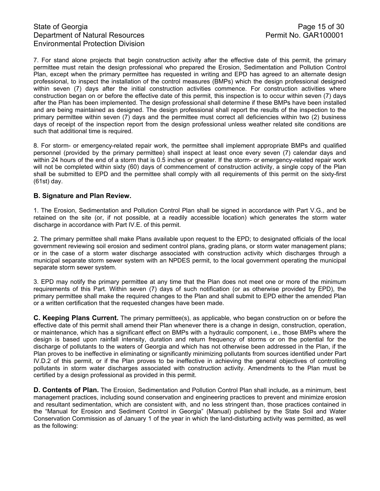# State of Georgia **Page 15 of 30** Department of Natural Resources **Permit No. GAR100001** Environmental Protection Division

7. For stand alone projects that begin construction activity after the effective date of this permit, the primary permittee must retain the design professional who prepared the Erosion, Sedimentation and Pollution Control Plan, except when the primary permittee has requested in writing and EPD has agreed to an alternate design professional, to inspect the installation of the control measures (BMPs) which the design professional designed within seven (7) days after the initial construction activities commence. For construction activities where construction began on or before the effective date of this permit, this inspection is to occur within seven (7) days after the Plan has been implemented. The design professional shall determine if these BMPs have been installed and are being maintained as designed. The design professional shall report the results of the inspection to the primary permittee within seven (7) days and the permittee must correct all deficiencies within two (2) business days of receipt of the inspection report from the design professional unless weather related site conditions are such that additional time is required.

8. For storm- or emergency-related repair work, the permittee shall implement appropriate BMPs and qualified personnel (provided by the primary permittee) shall inspect at least once every seven (7) calendar days and within 24 hours of the end of a storm that is 0.5 inches or greater. If the storm- or emergency-related repair work will not be completed within sixty (60) days of commencement of construction activity, a single copy of the Plan shall be submitted to EPD and the permittee shall comply with all requirements of this permit on the sixty-first (61st) day.

## **B. Signature and Plan Review.**

1. The Erosion, Sedimentation and Pollution Control Plan shall be signed in accordance with Part V.G., and be retained on the site (or, if not possible, at a readily accessible location) which generates the storm water discharge in accordance with Part IV.E. of this permit.

2. The primary permittee shall make Plans available upon request to the EPD; to designated officials of the local government reviewing soil erosion and sediment control plans, grading plans, or storm water management plans; or in the case of a storm water discharge associated with construction activity which discharges through a municipal separate storm sewer system with an NPDES permit, to the local government operating the municipal separate storm sewer system.

3. EPD may notify the primary permittee at any time that the Plan does not meet one or more of the minimum requirements of this Part. Within seven (7) days of such notification (or as otherwise provided by EPD), the primary permittee shall make the required changes to the Plan and shall submit to EPD either the amended Plan or a written certification that the requested changes have been made.

**C. Keeping Plans Current.** The primary permittee(s), as applicable, who began construction on or before the effective date of this permit shall amend their Plan whenever there is a change in design, construction, operation, or maintenance, which has a significant effect on BMPs with a hydraulic component, i.e., those BMPs where the design is based upon rainfall intensity, duration and return frequency of storms or on the potential for the discharge of pollutants to the waters of Georgia and which has not otherwise been addressed in the Plan, if the Plan proves to be ineffective in eliminating or significantly minimizing pollutants from sources identified under Part IV.D.2 of this permit, or if the Plan proves to be ineffective in achieving the general objectives of controlling pollutants in storm water discharges associated with construction activity. Amendments to the Plan must be certified by a design professional as provided in this permit.

**D. Contents of Plan.** The Erosion, Sedimentation and Pollution Control Plan shall include, as a minimum, best management practices, including sound conservation and engineering practices to prevent and minimize erosion and resultant sedimentation, which are consistent with, and no less stringent than, those practices contained in the "Manual for Erosion and Sediment Control in Georgia" (Manual) published by the State Soil and Water Conservation Commission as of January 1 of the year in which the land-disturbing activity was permitted, as well as the following: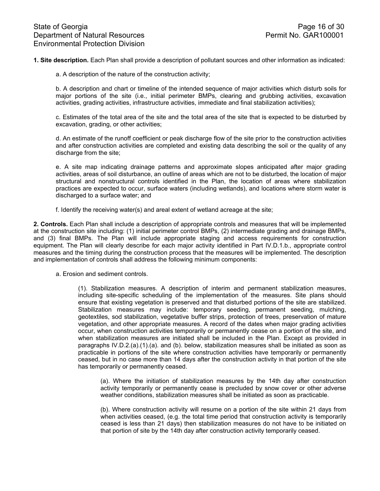**1. Site description.** Each Plan shall provide a description of pollutant sources and other information as indicated:

a. A description of the nature of the construction activity;

b. A description and chart or timeline of the intended sequence of major activities which disturb soils for major portions of the site (i.e., initial perimeter BMPs, clearing and grubbing activities, excavation activities, grading activities, infrastructure activities, immediate and final stabilization activities);

c. Estimates of the total area of the site and the total area of the site that is expected to be disturbed by excavation, grading, or other activities;

d. An estimate of the runoff coefficient or peak discharge flow of the site prior to the construction activities and after construction activities are completed and existing data describing the soil or the quality of any discharge from the site;

e. A site map indicating drainage patterns and approximate slopes anticipated after major grading activities, areas of soil disturbance, an outline of areas which are not to be disturbed, the location of major structural and nonstructural controls identified in the Plan, the location of areas where stabilization practices are expected to occur, surface waters (including wetlands), and locations where storm water is discharged to a surface water; and

f. Identify the receiving water(s) and areal extent of wetland acreage at the site;

**2. Controls.** Each Plan shall include a description of appropriate controls and measures that will be implemented at the construction site including: (1) initial perimeter control BMPs, (2) intermediate grading and drainage BMPs, and (3) final BMPs. The Plan will include appropriate staging and access requirements for construction equipment. The Plan will clearly describe for each major activity identified in Part IV.D.1.b., appropriate control measures and the timing during the construction process that the measures will be implemented. The description and implementation of controls shall address the following minimum components:

a. Erosion and sediment controls.

(1). Stabilization measures. A description of interim and permanent stabilization measures, including site-specific scheduling of the implementation of the measures. Site plans should ensure that existing vegetation is preserved and that disturbed portions of the site are stabilized. Stabilization measures may include: temporary seeding, permanent seeding, mulching, geotextiles, sod stabilization, vegetative buffer strips, protection of trees, preservation of mature vegetation, and other appropriate measures. A record of the dates when major grading activities occur, when construction activities temporarily or permanently cease on a portion of the site, and when stabilization measures are initiated shall be included in the Plan. Except as provided in paragraphs IV.D.2.(a).(1).(a). and (b). below, stabilization measures shall be initiated as soon as practicable in portions of the site where construction activities have temporarily or permanently ceased, but in no case more than 14 days after the construction activity in that portion of the site has temporarily or permanently ceased.

(a). Where the initiation of stabilization measures by the 14th day after construction activity temporarily or permanently cease is precluded by snow cover or other adverse weather conditions, stabilization measures shall be initiated as soon as practicable.

(b). Where construction activity will resume on a portion of the site within 21 days from when activities ceased, (e.g. the total time period that construction activity is temporarily ceased is less than 21 days) then stabilization measures do not have to be initiated on that portion of site by the 14th day after construction activity temporarily ceased.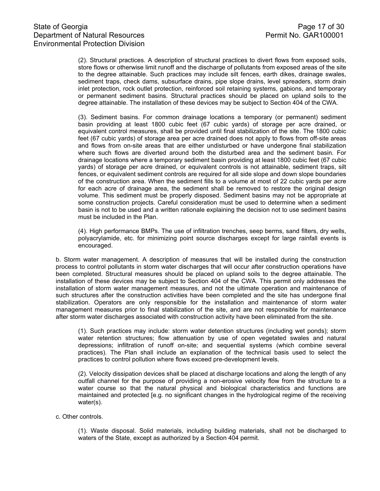(2). Structural practices. A description of structural practices to divert flows from exposed soils, store flows or otherwise limit runoff and the discharge of pollutants from exposed areas of the site to the degree attainable. Such practices may include silt fences, earth dikes, drainage swales, sediment traps, check dams, subsurface drains, pipe slope drains, level spreaders, storm drain inlet protection, rock outlet protection, reinforced soil retaining systems, gabions, and temporary or permanent sediment basins. Structural practices should be placed on upland soils to the degree attainable. The installation of these devices may be subject to Section 404 of the CWA.

(3). Sediment basins. For common drainage locations a temporary (or permanent) sediment basin providing at least 1800 cubic feet (67 cubic yards) of storage per acre drained, or equivalent control measures, shall be provided until final stabilization of the site. The 1800 cubic feet (67 cubic yards) of storage area per acre drained does not apply to flows from off-site areas and flows from on-site areas that are either undisturbed or have undergone final stabilization where such flows are diverted around both the disturbed area and the sediment basin. For drainage locations where a temporary sediment basin providing at least 1800 cubic feet (67 cubic yards) of storage per acre drained, or equivalent controls is not attainable, sediment traps, silt fences, or equivalent sediment controls are required for all side slope and down slope boundaries of the construction area. When the sediment fills to a volume at most of 22 cubic yards per acre for each acre of drainage area, the sediment shall be removed to restore the original design volume. This sediment must be properly disposed. Sediment basins may not be appropriate at some construction projects. Careful consideration must be used to determine when a sediment basin is not to be used and a written rationale explaining the decision not to use sediment basins must be included in the Plan.

(4). High performance BMPs. The use of infiltration trenches, seep berms, sand filters, dry wells, polyacrylamide, etc. for minimizing point source discharges except for large rainfall events is encouraged.

b. Storm water management. A description of measures that will be installed during the construction process to control pollutants in storm water discharges that will occur after construction operations have been completed. Structural measures should be placed on upland soils to the degree attainable. The installation of these devices may be subject to Section 404 of the CWA. This permit only addresses the installation of storm water management measures, and not the ultimate operation and maintenance of such structures after the construction activities have been completed and the site has undergone final stabilization. Operators are only responsible for the installation and maintenance of storm water management measures prior to final stabilization of the site, and are not responsible for maintenance after storm water discharges associated with construction activity have been eliminated from the site.

(1). Such practices may include: storm water detention structures (including wet ponds); storm water retention structures; flow attenuation by use of open vegetated swales and natural depressions; infiltration of runoff on-site; and sequential systems (which combine several practices). The Plan shall include an explanation of the technical basis used to select the practices to control pollution where flows exceed pre-development levels.

(2). Velocity dissipation devices shall be placed at discharge locations and along the length of any outfall channel for the purpose of providing a non-erosive velocity flow from the structure to a water course so that the natural physical and biological characteristics and functions are maintained and protected [e.g. no significant changes in the hydrological regime of the receiving water(s).

#### c. Other controls.

(1). Waste disposal. Solid materials, including building materials, shall not be discharged to waters of the State, except as authorized by a Section 404 permit.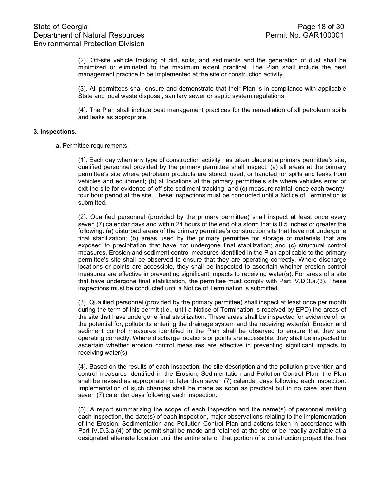(2). Off-site vehicle tracking of dirt, soils, and sediments and the generation of dust shall be minimized or eliminated to the maximum extent practical. The Plan shall include the best management practice to be implemented at the site or construction activity.

(3). All permittees shall ensure and demonstrate that their Plan is in compliance with applicable State and local waste disposal, sanitary sewer or septic system regulations.

(4). The Plan shall include best management practices for the remediation of all petroleum spills and leaks as appropriate.

#### **3. Inspections.**

a. Permittee requirements.

(1). Each day when any type of construction activity has taken place at a primary permittee's site, qualified personnel provided by the primary permittee shall inspect: (a) all areas at the primary permittee's site where petroleum products are stored, used, or handled for spills and leaks from vehicles and equipment; (b) all locations at the primary permittee's site where vehicles enter or exit the site for evidence of off-site sediment tracking; and (c) measure rainfall once each twentyfour hour period at the site. These inspections must be conducted until a Notice of Termination is submitted.

(2). Qualified personnel (provided by the primary permittee) shall inspect at least once every seven (7) calendar days and within 24 hours of the end of a storm that is 0.5 inches or greater the following: (a) disturbed areas of the primary permittee's construction site that have not undergone final stabilization; (b) areas used by the primary permittee for storage of materials that are exposed to precipitation that have not undergone final stabilization; and (c) structural control measures. Erosion and sediment control measures identified in the Plan applicable to the primary permittee's site shall be observed to ensure that they are operating correctly. Where discharge locations or points are accessible, they shall be inspected to ascertain whether erosion control measures are effective in preventing significant impacts to receiving water(s). For areas of a site that have undergone final stabilization, the permittee must comply with Part IV.D.3.a.(3). These inspections must be conducted until a Notice of Termination is submitted.

(3). Qualified personnel (provided by the primary permittee) shall inspect at least once per month during the term of this permit (i.e., until a Notice of Termination is received by EPD) the areas of the site that have undergone final stabilization. These areas shall be inspected for evidence of, or the potential for, pollutants entering the drainage system and the receiving water(s). Erosion and sediment control measures identified in the Plan shall be observed to ensure that they are operating correctly. Where discharge locations or points are accessible, they shall be inspected to ascertain whether erosion control measures are effective in preventing significant impacts to receiving water(s).

(4). Based on the results of each inspection, the site description and the pollution prevention and control measures identified in the Erosion, Sedimentation and Pollution Control Plan, the Plan shall be revised as appropriate not later than seven (7) calendar days following each inspection. Implementation of such changes shall be made as soon as practical but in no case later than seven (7) calendar days following each inspection.

(5). A report summarizing the scope of each inspection and the name(s) of personnel making each inspection, the date(s) of each inspection, major observations relating to the implementation of the Erosion, Sedimentation and Pollution Control Plan and actions taken in accordance with Part IV.D.3.a.(4) of the permit shall be made and retained at the site or be readily available at a designated alternate location until the entire site or that portion of a construction project that has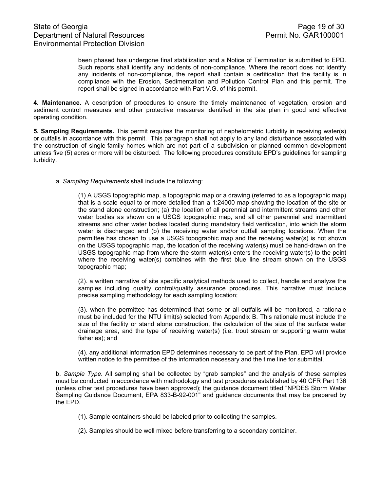been phased has undergone final stabilization and a Notice of Termination is submitted to EPD. Such reports shall identify any incidents of non-compliance. Where the report does not identify any incidents of non-compliance, the report shall contain a certification that the facility is in compliance with the Erosion, Sedimentation and Pollution Control Plan and this permit. The report shall be signed in accordance with Part V.G. of this permit.

**4. Maintenance.** A description of procedures to ensure the timely maintenance of vegetation, erosion and sediment control measures and other protective measures identified in the site plan in good and effective operating condition.

**5. Sampling Requirements.** This permit requires the monitoring of nephelometric turbidity in receiving water(s) or outfalls in accordance with this permit. This paragraph shall not apply to any land disturbance associated with the construction of single-family homes which are not part of a subdivision or planned common development unless five (5) acres or more will be disturbed. The following procedures constitute EPD's guidelines for sampling turbidity.

a. *Sampling Requirements* shall include the following:

(1) A USGS topographic map, a topographic map or a drawing (referred to as a topographic map) that is a scale equal to or more detailed than a 1:24000 map showing the location of the site or the stand alone construction; (a) the location of all perennial and intermittent streams and other water bodies as shown on a USGS topographic map, and all other perennial and intermittent streams and other water bodies located during mandatory field verification, into which the storm water is discharged and (b) the receiving water and/or outfall sampling locations. When the permittee has chosen to use a USGS topographic map and the receiving water(s) is not shown on the USGS topographic map, the location of the receiving water(s) must be hand-drawn on the USGS topographic map from where the storm water(s) enters the receiving water(s) to the point where the receiving water(s) combines with the first blue line stream shown on the USGS topographic map;

(2). a written narrative of site specific analytical methods used to collect, handle and analyze the samples including quality control/quality assurance procedures. This narrative must include precise sampling methodology for each sampling location;

(3). when the permittee has determined that some or all outfalls will be monitored, a rationale must be included for the NTU limit(s) selected from Appendix B. This rationale must include the size of the facility or stand alone construction, the calculation of the size of the surface water drainage area, and the type of receiving water(s) (i.e. trout stream or supporting warm water fisheries); and

(4). any additional information EPD determines necessary to be part of the Plan. EPD will provide written notice to the permittee of the information necessary and the time line for submittal.

b. *Sample Type.* All sampling shall be collected by "grab samples" and the analysis of these samples must be conducted in accordance with methodology and test procedures established by 40 CFR Part 136 (unless other test procedures have been approved); the guidance document titled "NPDES Storm Water Sampling Guidance Document, EPA 833-B-92-001" and guidance documents that may be prepared by the EPD.

- (1). Sample containers should be labeled prior to collecting the samples.
- (2). Samples should be well mixed before transferring to a secondary container.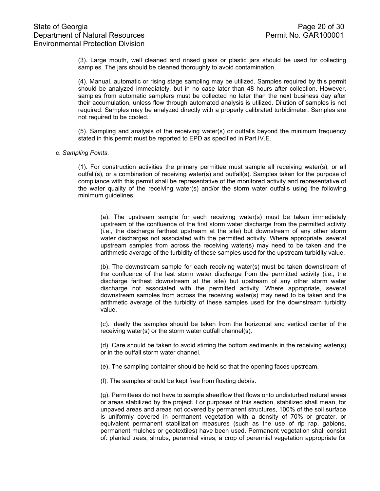(3). Large mouth, well cleaned and rinsed glass or plastic jars should be used for collecting samples. The jars should be cleaned thoroughly to avoid contamination.

(4). Manual, automatic or rising stage sampling may be utilized. Samples required by this permit should be analyzed immediately, but in no case later than 48 hours after collection. However, samples from automatic samplers must be collected no later than the next business day after their accumulation, unless flow through automated analysis is utilized. Dilution of samples is not required. Samples may be analyzed directly with a properly calibrated turbidimeter. Samples are not required to be cooled.

(5). Sampling and analysis of the receiving water(s) or outfalls beyond the minimum frequency stated in this permit must be reported to EPD as specified in Part IV.E.

#### c. *Sampling Points*.

(1). For construction activities the primary permittee must sample all receiving water(s), or all outfall(s), or a combination of receiving water(s) and outfall(s). Samples taken for the purpose of compliance with this permit shall be representative of the monitored activity and representative of the water quality of the receiving water(s) and/or the storm water outfalls using the following minimum guidelines:

(a). The upstream sample for each receiving water(s) must be taken immediately upstream of the confluence of the first storm water discharge from the permitted activity (i.e., the discharge farthest upstream at the site) but downstream of any other storm water discharges not associated with the permitted activity. Where appropriate, several upstream samples from across the receiving water(s) may need to be taken and the arithmetic average of the turbidity of these samples used for the upstream turbidity value.

(b). The downstream sample for each receiving water(s) must be taken downstream of the confluence of the last storm water discharge from the permitted activity (i.e., the discharge farthest downstream at the site) but upstream of any other storm water discharge not associated with the permitted activity. Where appropriate, several downstream samples from across the receiving water(s) may need to be taken and the arithmetic average of the turbidity of these samples used for the downstream turbidity value.

(c). Ideally the samples should be taken from the horizontal and vertical center of the receiving water(s) or the storm water outfall channel(s).

(d). Care should be taken to avoid stirring the bottom sediments in the receiving water(s) or in the outfall storm water channel.

(e). The sampling container should be held so that the opening faces upstream.

(f). The samples should be kept free from floating debris.

(g). Permittees do not have to sample sheetflow that flows onto undisturbed natural areas or areas stabilized by the project. For purposes of this section, stabilized shall mean, for unpaved areas and areas not covered by permanent structures, 100% of the soil surface is uniformly covered in permanent vegetation with a density of 70% or greater, or equivalent permanent stabilization measures (such as the use of rip rap, gabions, permanent mulches or geotextiles) have been used. Permanent vegetation shall consist of: planted trees, shrubs, perennial vines; a crop of perennial vegetation appropriate for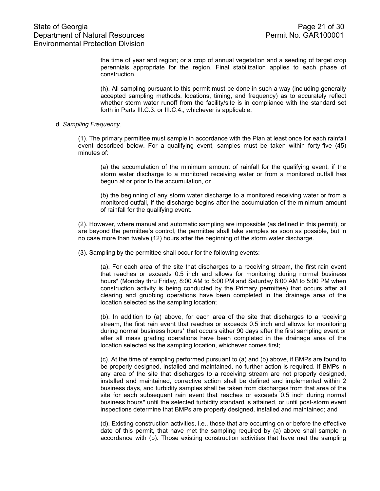# State of Georgia **Page 21 of 30** Department of Natural Resources **Permit No. GAR100001** Environmental Protection Division

the time of year and region; or a crop of annual vegetation and a seeding of target crop perennials appropriate for the region. Final stabilization applies to each phase of construction.

(h). All sampling pursuant to this permit must be done in such a way (including generally accepted sampling methods, locations, timing, and frequency) as to accurately reflect whether storm water runoff from the facility/site is in compliance with the standard set forth in Parts III.C.3. or III.C.4., whichever is applicable.

#### d. *Sampling Frequency*.

(1). The primary permittee must sample in accordance with the Plan at least once for each rainfall event described below. For a qualifying event, samples must be taken within forty-five (45) minutes of:

(a) the accumulation of the minimum amount of rainfall for the qualifying event, if the storm water discharge to a monitored receiving water or from a monitored outfall has begun at or prior to the accumulation, or

(b) the beginning of any storm water discharge to a monitored receiving water or from a monitored outfall, if the discharge begins after the accumulation of the minimum amount of rainfall for the qualifying event.

(2). However, where manual and automatic sampling are impossible (as defined in this permit), or are beyond the permittee's control, the permittee shall take samples as soon as possible, but in no case more than twelve (12) hours after the beginning of the storm water discharge.

(3). Sampling by the permittee shall occur for the following events:

(a). For each area of the site that discharges to a receiving stream, the first rain event that reaches or exceeds 0.5 inch and allows for monitoring during normal business hours\* (Monday thru Friday, 8:00 AM to 5:00 PM and Saturday 8:00 AM to 5:00 PM when construction activity is being conducted by the Primary permittee) that occurs after all clearing and grubbing operations have been completed in the drainage area of the location selected as the sampling location;

(b). In addition to (a) above, for each area of the site that discharges to a receiving stream, the first rain event that reaches or exceeds 0.5 inch and allows for monitoring during normal business hours\* that occurs either 90 days after the first sampling event or after all mass grading operations have been completed in the drainage area of the location selected as the sampling location, whichever comes first;

(c). At the time of sampling performed pursuant to (a) and (b) above, if BMPs are found to be properly designed, installed and maintained, no further action is required. If BMPs in any area of the site that discharges to a receiving stream are not properly designed, installed and maintained, corrective action shall be defined and implemented within 2 business days, and turbidity samples shall be taken from discharges from that area of the site for each subsequent rain event that reaches or exceeds 0.5 inch during normal business hours\* until the selected turbidity standard is attained, or until post-storm event inspections determine that BMPs are properly designed, installed and maintained; and

(d). Existing construction activities, i.e., those that are occurring on or before the effective date of this permit, that have met the sampling required by (a) above shall sample in accordance with (b). Those existing construction activities that have met the sampling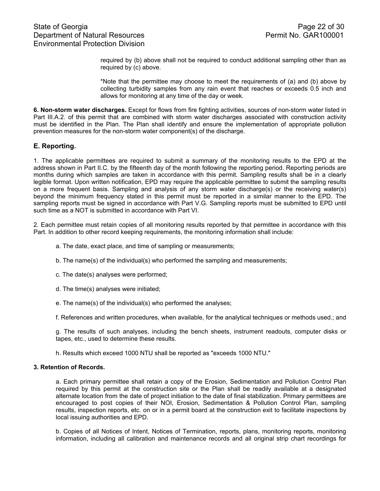required by (b) above shall not be required to conduct additional sampling other than as required by (c) above.

\*Note that the permittee may choose to meet the requirements of (a) and (b) above by collecting turbidity samples from any rain event that reaches or exceeds 0.5 inch and allows for monitoring at any time of the day or week.

**6. Non-storm water discharges.** Except for flows from fire fighting activities, sources of non-storm water listed in Part III.A.2. of this permit that are combined with storm water discharges associated with construction activity must be identified in the Plan. The Plan shall identify and ensure the implementation of appropriate pollution prevention measures for the non-storm water component(s) of the discharge.

### **E. Reporting.**

1. The applicable permittees are required to submit a summary of the monitoring results to the EPD at the address shown in Part II.C. by the fifteenth day of the month following the reporting period. Reporting periods are months during which samples are taken in accordance with this permit. Sampling results shall be in a clearly legible format. Upon written notification, EPD may require the applicable permittee to submit the sampling results on a more frequent basis. Sampling and analysis of any storm water discharge(s) or the receiving water(s) beyond the minimum frequency stated in this permit must be reported in a similar manner to the EPD. The sampling reports must be signed in accordance with Part V.G. Sampling reports must be submitted to EPD until such time as a NOT is submitted in accordance with Part VI.

2. Each permittee must retain copies of all monitoring results reported by that permittee in accordance with this Part. In addition to other record keeping requirements, the monitoring information shall include:

- a. The date, exact place, and time of sampling or measurements;
- b. The name(s) of the individual(s) who performed the sampling and measurements;
- c. The date(s) analyses were performed;
- d. The time(s) analyses were initiated;
- e. The name(s) of the individual(s) who performed the analyses;

f. References and written procedures, when available, for the analytical techniques or methods used.; and

g. The results of such analyses, including the bench sheets, instrument readouts, computer disks or tapes, etc., used to determine these results.

h. Results which exceed 1000 NTU shall be reported as "exceeds 1000 NTU."

#### **3. Retention of Records.**

a. Each primary permittee shall retain a copy of the Erosion, Sedimentation and Pollution Control Plan required by this permit at the construction site or the Plan shall be readily available at a designated alternate location from the date of project initiation to the date of final stabilization. Primary permittees are encouraged to post copies of their NOI, Erosion, Sedimentation & Pollution Control Plan, sampling results, inspection reports, etc. on or in a permit board at the construction exit to facilitate inspections by local issuing authorities and EPD.

b. Copies of all Notices of Intent, Notices of Termination, reports, plans, monitoring reports, monitoring information, including all calibration and maintenance records and all original strip chart recordings for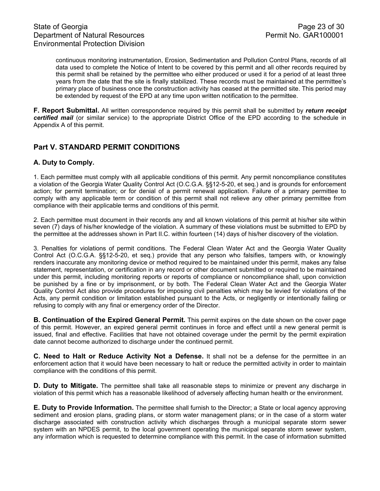continuous monitoring instrumentation, Erosion, Sedimentation and Pollution Control Plans, records of all data used to complete the Notice of Intent to be covered by this permit and all other records required by this permit shall be retained by the permittee who either produced or used it for a period of at least three years from the date that the site is finally stabilized. These records must be maintained at the permittee's primary place of business once the construction activity has ceased at the permitted site. This period may be extended by request of the EPD at any time upon written notification to the permittee.

**F. Report Submittal.** All written correspondence required by this permit shall be submitted by *return receipt certified mail* (or similar service) to the appropriate District Office of the EPD according to the schedule in Appendix A of this permit.

# **Part V. STANDARD PERMIT CONDITIONS**

## **A. Duty to Comply.**

1. Each permittee must comply with all applicable conditions of this permit. Any permit noncompliance constitutes a violation of the Georgia Water Quality Control Act (O.C.G.A. §§12-5-20, et seq.) and is grounds for enforcement action; for permit termination; or for denial of a permit renewal application. Failure of a primary permittee to comply with any applicable term or condition of this permit shall not relieve any other primary permittee from compliance with their applicable terms and conditions of this permit.

2. Each permittee must document in their records any and all known violations of this permit at his/her site within seven (7) days of his/her knowledge of the violation. A summary of these violations must be submitted to EPD by the permittee at the addresses shown in Part II.C. within fourteen (14) days of his/her discovery of the violation.

3. Penalties for violations of permit conditions. The Federal Clean Water Act and the Georgia Water Quality Control Act (O.C.G.A. §§12-5-20, et seq.) provide that any person who falsifies, tampers with, or knowingly renders inaccurate any monitoring device or method required to be maintained under this permit, makes any false statement, representation, or certification in any record or other document submitted or required to be maintained under this permit, including monitoring reports or reports of compliance or noncompliance shall, upon conviction be punished by a fine or by imprisonment, or by both. The Federal Clean Water Act and the Georgia Water Quality Control Act also provide procedures for imposing civil penalties which may be levied for violations of the Acts, any permit condition or limitation established pursuant to the Acts, or negligently or intentionally failing or refusing to comply with any final or emergency order of the Director.

**B. Continuation of the Expired General Permit.** This permit expires on the date shown on the cover page of this permit. However, an expired general permit continues in force and effect until a new general permit is issued, final and effective. Facilities that have not obtained coverage under the permit by the permit expiration date cannot become authorized to discharge under the continued permit.

**C. Need to Halt or Reduce Activity Not a Defense.** It shall not be a defense for the permittee in an enforcement action that it would have been necessary to halt or reduce the permitted activity in order to maintain compliance with the conditions of this permit.

**D. Duty to Mitigate.** The permittee shall take all reasonable steps to minimize or prevent any discharge in violation of this permit which has a reasonable likelihood of adversely affecting human health or the environment.

**E. Duty to Provide Information.** The permittee shall furnish to the Director; a State or local agency approving sediment and erosion plans, grading plans, or storm water management plans; or in the case of a storm water discharge associated with construction activity which discharges through a municipal separate storm sewer system with an NPDES permit, to the local government operating the municipal separate storm sewer system, any information which is requested to determine compliance with this permit. In the case of information submitted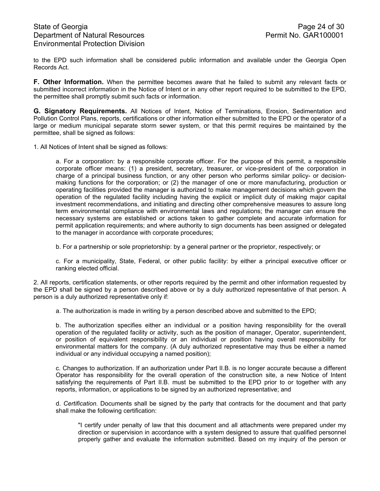to the EPD such information shall be considered public information and available under the Georgia Open Records Act.

**F. Other Information.** When the permittee becomes aware that he failed to submit any relevant facts or submitted incorrect information in the Notice of Intent or in any other report required to be submitted to the EPD, the permittee shall promptly submit such facts or information.

**G. Signatory Requirements.** All Notices of Intent, Notice of Terminations, Erosion, Sedimentation and Pollution Control Plans, reports, certifications or other information either submitted to the EPD or the operator of a large or medium municipal separate storm sewer system, or that this permit requires be maintained by the permittee, shall be signed as follows:

1. All Notices of Intent shall be signed as follows:

a. For a corporation: by a responsible corporate officer. For the purpose of this permit, a responsible corporate officer means: (1) a president, secretary, treasurer, or vice-president of the corporation in charge of a principal business function, or any other person who performs similar policy- or decisionmaking functions for the corporation; or (2) the manager of one or more manufacturing, production or operating facilities provided the manager is authorized to make management decisions which govern the operation of the regulated facility including having the explicit or implicit duty of making major capital investment recommendations, and initiating and directing other comprehensive measures to assure long term environmental compliance with environmental laws and regulations; the manager can ensure the necessary systems are established or actions taken to gather complete and accurate information for permit application requirements; and where authority to sign documents has been assigned or delegated to the manager in accordance with corporate procedures;

b. For a partnership or sole proprietorship: by a general partner or the proprietor, respectively; or

c. For a municipality, State, Federal, or other public facility: by either a principal executive officer or ranking elected official.

2. All reports, certification statements, or other reports required by the permit and other information requested by the EPD shall be signed by a person described above or by a duly authorized representative of that person. A person is a duly authorized representative only if:

a. The authorization is made in writing by a person described above and submitted to the EPD;

b. The authorization specifies either an individual or a position having responsibility for the overall operation of the regulated facility or activity, such as the position of manager, Operator, superintendent, or position of equivalent responsibility or an individual or position having overall responsibility for environmental matters for the company. (A duly authorized representative may thus be either a named individual or any individual occupying a named position);

c. Changes to authorization. If an authorization under Part II.B. is no longer accurate because a different Operator has responsibility for the overall operation of the construction site, a new Notice of Intent satisfying the requirements of Part II.B. must be submitted to the EPD prior to or together with any reports, information, or applications to be signed by an authorized representative; and

d. *Certification.* Documents shall be signed by the party that contracts for the document and that party shall make the following certification:

 "I certify under penalty of law that this document and all attachments were prepared under my direction or supervision in accordance with a system designed to assure that qualified personnel properly gather and evaluate the information submitted. Based on my inquiry of the person or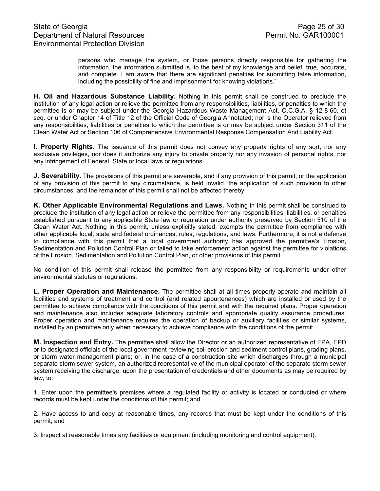persons who manage the system, or those persons directly responsible for gathering the information, the information submitted is, to the best of my knowledge and belief, true, accurate, and complete. I am aware that there are significant penalties for submitting false information, including the possibility of fine and imprisonment for knowing violations."

**H. Oil and Hazardous Substance Liability.** Nothing in this permit shall be construed to preclude the institution of any legal action or relieve the permittee from any responsibilities, liabilities, or penalties to which the permittee is or may be subject under the Georgia Hazardous Waste Management Act, O.C.G.A. § 12-8-60, et seq. or under Chapter 14 of Title 12 of the Official Code of Georgia Annotated; nor is the Operator relieved from any responsibilities, liabilities or penalties to which the permittee is or may be subject under Section 311 of the Clean Water Act or Section 106 of Comprehensive Environmental Response Compensation And Liability Act.

**I. Property Rights.** The issuance of this permit does not convey any property rights of any sort, nor any exclusive privileges, nor does it authorize any injury to private property nor any invasion of personal rights, nor any infringement of Federal, State or local laws or regulations.

**J. Severability.** The provisions of this permit are severable, and if any provision of this permit, or the application of any provision of this permit to any circumstance, is held invalid, the application of such provision to other circumstances, and the remainder of this permit shall not be affected thereby.

**K. Other Applicable Environmental Regulations and Laws.** Nothing in this permit shall be construed to preclude the institution of any legal action or relieve the permittee from any responsibilities, liabilities, or penalties established pursuant to any applicable State law or regulation under authority preserved by Section 510 of the Clean Water Act. Nothing in this permit, unless explicitly stated, exempts the permittee from compliance with other applicable local, state and federal ordinances, rules, regulations, and laws. Furthermore, it is not a defense to compliance with this permit that a local government authority has approved the permittee's Erosion, Sedimentation and Pollution Control Plan or failed to take enforcement action against the permittee for violations of the Erosion, Sedimentation and Pollution Control Plan, or other provisions of this permit.

No condition of this permit shall release the permittee from any responsibility or requirements under other environmental statutes or regulations.

**L. Proper Operation and Maintenance.** The permittee shall at all times properly operate and maintain all facilities and systems of treatment and control (and related appurtenances) which are installed or used by the permittee to achieve compliance with the conditions of this permit and with the required plans. Proper operation and maintenance also includes adequate laboratory controls and appropriate quality assurance procedures. Proper operation and maintenance requires the operation of backup or auxiliary facilities or similar systems, installed by an permittee only when necessary to achieve compliance with the conditions of the permit.

**M. Inspection and Entry.** The permittee shall allow the Director or an authorized representative of EPA, EPD or to designated officials of the local government reviewing soil erosion and sediment control plans, grading plans, or storm water management plans; or, in the case of a construction site which discharges through a municipal separate storm sewer system, an authorized representative of the municipal operator of the separate storm sewer system receiving the discharge, upon the presentation of credentials and other documents as may be required by law, to:

1. Enter upon the permittee's premises where a regulated facility or activity is located or conducted or where records must be kept under the conditions of this permit; and

2. Have access to and copy at reasonable times, any records that must be kept under the conditions of this permit; and

3. Inspect at reasonable times any facilities or equipment (including monitoring and control equipment).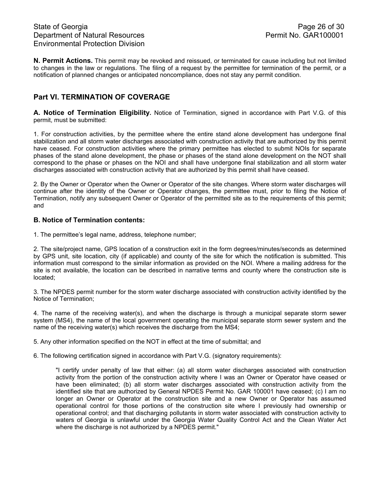**N. Permit Actions.** This permit may be revoked and reissued, or terminated for cause including but not limited to changes in the law or regulations. The filing of a request by the permittee for termination of the permit, or a notification of planned changes or anticipated noncompliance, does not stay any permit condition.

# **Part VI. TERMINATION OF COVERAGE**

**A. Notice of Termination Eligibility.** Notice of Termination, signed in accordance with Part V.G. of this permit, must be submitted:

1. For construction activities, by the permittee where the entire stand alone development has undergone final stabilization and all storm water discharges associated with construction activity that are authorized by this permit have ceased. For construction activities where the primary permittee has elected to submit NOIs for separate phases of the stand alone development, the phase or phases of the stand alone development on the NOT shall correspond to the phase or phases on the NOI and shall have undergone final stabilization and all storm water discharges associated with construction activity that are authorized by this permit shall have ceased.

2. By the Owner or Operator when the Owner or Operator of the site changes. Where storm water discharges will continue after the identity of the Owner or Operator changes, the permittee must, prior to filing the Notice of Termination, notify any subsequent Owner or Operator of the permitted site as to the requirements of this permit; and

### **B. Notice of Termination contents:**

1. The permittee's legal name, address, telephone number;

2. The site/project name, GPS location of a construction exit in the form degrees/minutes/seconds as determined by GPS unit, site location, city (if applicable) and county of the site for which the notification is submitted. This information must correspond to the similar information as provided on the NOI. Where a mailing address for the site is not available, the location can be described in narrative terms and county where the construction site is located;

3. The NPDES permit number for the storm water discharge associated with construction activity identified by the Notice of Termination;

4. The name of the receiving water(s), and when the discharge is through a municipal separate storm sewer system (MS4), the name of the local government operating the municipal separate storm sewer system and the name of the receiving water(s) which receives the discharge from the MS4;

5. Any other information specified on the NOT in effect at the time of submittal; and

6. The following certification signed in accordance with Part V.G. (signatory requirements):

"I certify under penalty of law that either: (a) all storm water discharges associated with construction activity from the portion of the construction activity where I was an Owner or Operator have ceased or have been eliminated; (b) all storm water discharges associated with construction activity from the identified site that are authorized by General NPDES Permit No. GAR 100001 have ceased; (c) I am no longer an Owner or Operator at the construction site and a new Owner or Operator has assumed operational control for those portions of the construction site where I previously had ownership or operational control; and that discharging pollutants in storm water associated with construction activity to waters of Georgia is unlawful under the Georgia Water Quality Control Act and the Clean Water Act where the discharge is not authorized by a NPDES permit."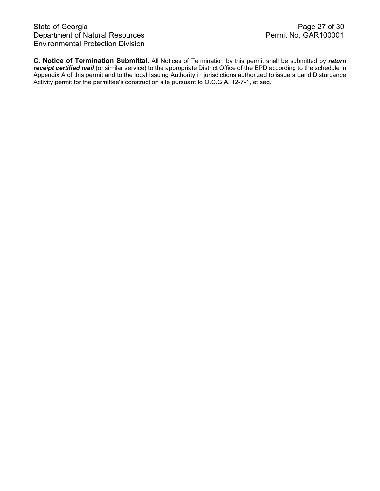**C. Notice of Termination Submittal.** All Notices of Termination by this permit shall be submitted by *return receipt certified mail* (or similar service) to the appropriate District Office of the EPD according to the schedule in Appendix A of this permit and to the local Issuing Authority in jurisdictions authorized to issue a Land Disturbance Activity permit for the permittee's construction site pursuant to O.C.G.A. 12-7-1, et seq.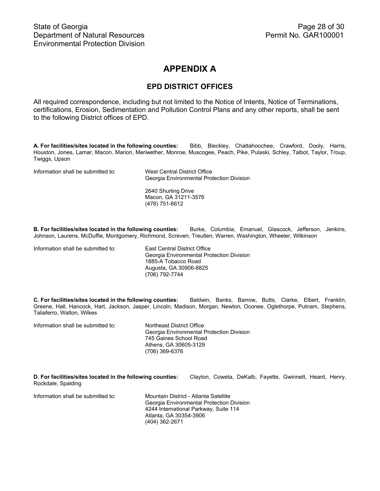# **APPENDIX A**

# **EPD DISTRICT OFFICES**

All required correspondence, including but not limited to the Notice of Intents, Notice of Terminations, certifications, Erosion, Sedimentation and Pollution Control Plans and any other reports, shall be sent to the following District offices of EPD.

**A. For facilities/sites located in the following counties:** Bibb, Bleckley, Chattahoochee, Crawford, Dooly, Harris, Houston, Jones, Lamar, Macon, Marion, Meriwether, Monroe, Muscogee, Peach, Pike, Pulaski, Schley, Talbot, Taylor, Troup, Twiggs, Upson

Information shall be submitted to: West Central District Office

Georgia Environmental Protection Division

2640 Shurling Drive Macon, GA 31211-3576 (478) 751-6612

**B. For facilities/sites located in the following counties:** Burke, Columbia, Emanuel, Glascock, Jefferson, Jenkins, Johnson, Laurens, McDuffie, Montgomery, Richmond, Screven, Treutlen, Warren, Washington, Wheeler, Wilkinson

Information shall be submitted to: East Central District Office

 Georgia Environmental Protection Division 1885-A Tobacco Road Augusta, GA 30906-8825 (706) 792-7744

**C. For facilities/sites located in the following counties:** Baldwin, Banks, Barrow, Butts, Clarke, Elbert, Franklin, Greene, Hall, Hancock, Hart, Jackson, Jasper, Lincoln, Madison, Morgan, Newton, Oconee, Oglethorpe, Putnam, Stephens, Taliaferro, Walton, Wilkes

Information shall be submitted to: Northeast District Office

Georgia Environmental Protection Division 745 Gaines School Road Athens, GA 30605-3129 (706) 369-6376

**D. For facilities/sites located in the following counties:** Clayton, Coweta, DeKalb, Fayette, Gwinnett, Heard, Henry, Rockdale, Spalding

Information shall be submitted to: Mountain District - Atlanta Satellite

Georgia Environmental Protection Division 4244 International Parkway, Suite 114 Atlanta, GA 30354-3906 (404) 362-2671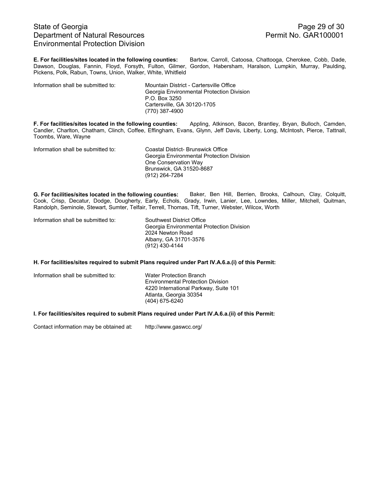# State of Georgia Page 29 of 30<br>Department of Natural Resources Permit No. GAR100001 Department of Natural Resources Environmental Protection Division

**E. For facilities/sites located in the following counties:** Bartow, Carroll, Catoosa, Chattooga, Cherokee, Cobb, Dade, Dawson, Douglas, Fannin, Floyd, Forsyth, Fulton, Gilmer, Gordon, Habersham, Haralson, Lumpkin, Murray, Paulding, Pickens, Polk, Rabun, Towns, Union, Walker, White, Whitfield

Information shall be submitted to: Mountain District - Cartersville Office

 Georgia Environmental Protection Division P.O. Box 3250 Cartersville, GA 30120-1705 (770) 387-4900

**F. For facilities/sites located in the following counties:** Appling, Atkinson, Bacon, Brantley, Bryan, Bulloch, Camden, Candler, Charlton, Chatham, Clinch, Coffee, Effingham, Evans, Glynn, Jeff Davis, Liberty, Long, McIntosh, Pierce, Tattnall, Toombs, Ware, Wayne

Information shall be submitted to: Coastal District- Brunswick Office

Georgia Environmental Protection Division One Conservation Way Brunswick, GA 31520-8687 (912) 264-7284

**G. For facilities/sites located in the following counties:** Baker, Ben Hill, Berrien, Brooks, Calhoun, Clay, Colquitt, Cook, Crisp, Decatur, Dodge, Dougherty, Early, Echols, Grady, Irwin, Lanier, Lee, Lowndes, Miller, Mitchell, Quitman, Randolph, Seminole, Stewart, Sumter, Telfair, Terrell, Thomas, Tift, Turner, Webster, Wilcox, Worth

| Information shall be submitted to: | Southwest District Office                 |
|------------------------------------|-------------------------------------------|
|                                    | Georgia Environmental Protection Division |
|                                    | 2024 Newton Road                          |
|                                    | Albany, GA 31701-3576                     |
|                                    | (912) 430-4144                            |

#### **H. For facilities/sites required to submit Plans required under Part IV.A.6.a.(i) of this Permit:**

Information shall be submitted to: Water Protection Branch

Environmental Protection Division 4220 International Parkway, Suite 101 Atlanta, Georgia 30354 (404) 675-6240

#### **I. For facilities/sites required to submit Plans required under Part IV.A.6.a.(ii) of this Permit:**

Contact information may be obtained at: http://www.gaswcc.org/